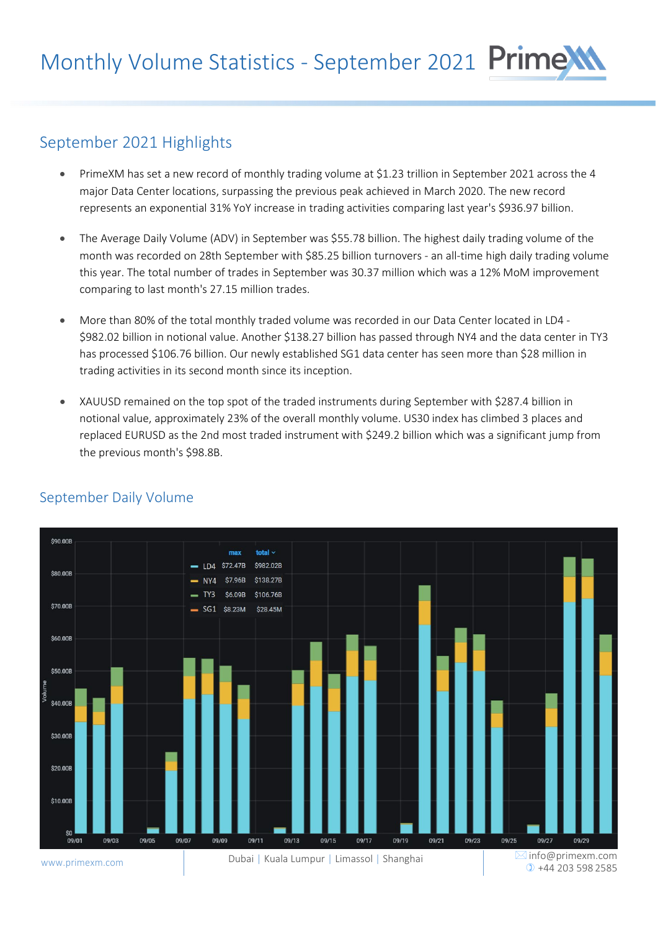# September 2021 Highlights

- PrimeXM has set a new record of monthly trading volume at \$1.23 trillion in September 2021 across the 4 major Data Center locations, surpassing the previous peak achieved in March 2020. The new record represents an exponential 31% YoY increase in trading activities comparing last year's \$936.97 billion.
- The Average Daily Volume (ADV) in September was \$55.78 billion. The highest daily trading volume of the month was recorded on 28th September with \$85.25 billion turnovers - an all-time high daily trading volume this year. The total number of trades in September was 30.37 million which was a 12% MoM improvement comparing to last month's 27.15 million trades.
- More than 80% of the total monthly traded volume was recorded in our Data Center located in LD4 \$982.02 billion in notional value. Another \$138.27 billion has passed through NY4 and the data center in TY3 has processed \$106.76 billion. Our newly established SG1 data center has seen more than \$28 million in trading activities in its second month since its inception.
- XAUUSD remained on the top spot of the traded instruments during September with \$287.4 billion in notional value, approximately 23% of the overall monthly volume. US30 index has climbed 3 places and replaced EURUSD as the 2nd most traded instrument with \$249.2 billion which was a significant jump from the previous month's \$98.8B.



#### September Daily Volume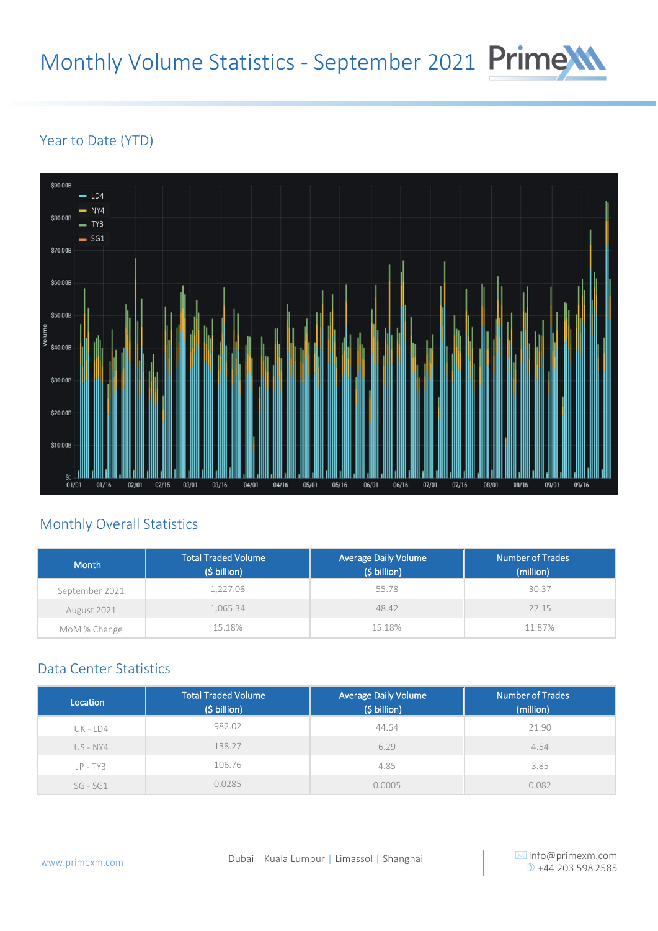# Monthly Volume Statistics - September 2021 Prime

## Year to Date (YTD)



### Monthly Overall Statistics

| <b>Month</b>   | <b>Total Traded Volume</b><br>(\$ billion) | <b>Average Daily Volume</b><br>(\$ billion) | <b>Number of Trades</b><br>(million) |
|----------------|--------------------------------------------|---------------------------------------------|--------------------------------------|
| September 2021 | 1,227.08                                   | 55.78                                       | 30.37                                |
| August 2021    | 1,065.34                                   | 48.42                                       | 27.15                                |
| MoM % Change   | 15.18%                                     | 15.18%                                      | 11.87%                               |

#### Data Center Statistics

| Location     | <b>Total Traded Volume</b><br>(\$ billion) | <b>Average Daily Volume</b><br>(\$ billion) | <b>Number of Trades</b><br>(million) |
|--------------|--------------------------------------------|---------------------------------------------|--------------------------------------|
| UK - LD4     | 982.02                                     | 44.64                                       | 21.90                                |
| $US$ - $NY4$ | 138.27                                     | 6.29                                        | 4.54                                 |
| $JP - TY3$   | 106.76                                     | 4.85                                        | 3.85                                 |
| $SG - SG1$   | 0.0285                                     | 0.0005                                      | 0.082                                |

 $⊠$  [info@primexm.com](mailto:info@primexm.com)